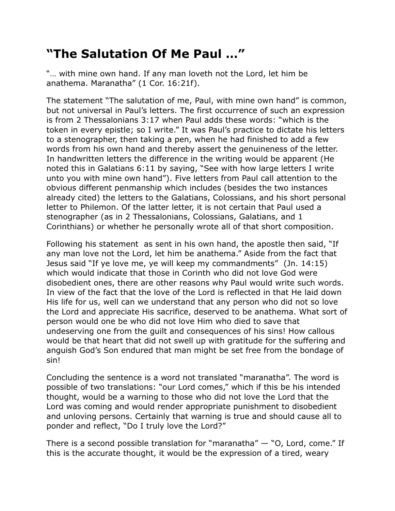## **"The Salutation Of Me Paul …"**

"… with mine own hand. If any man loveth not the Lord, let him be anathema. Maranatha" (1 Cor. 16:21f).

The statement "The salutation of me, Paul, with mine own hand" is common, but not universal in Paul's letters. The first occurrence of such an expression is from 2 Thessalonians 3:17 when Paul adds these words: "which is the token in every epistle; so I write." It was Paul's practice to dictate his letters to a stenographer, then taking a pen, when he had finished to add a few words from his own hand and thereby assert the genuineness of the letter. In handwritten letters the difference in the writing would be apparent (He noted this in Galatians 6:11 by saying, "See with how large letters I write unto you with mine own hand"). Five letters from Paul call attention to the obvious different penmanship which includes (besides the two instances already cited) the letters to the Galatians, Colossians, and his short personal letter to Philemon. Of the latter letter, it is not certain that Paul used a stenographer (as in 2 Thessalonians, Colossians, Galatians, and 1 Corinthians) or whether he personally wrote all of that short composition.

Following his statement as sent in his own hand, the apostle then said, "If any man love not the Lord, let him be anathema." Aside from the fact that Jesus said "If ye love me, ye will keep my commandments" (Jn. 14:15) which would indicate that those in Corinth who did not love God were disobedient ones, there are other reasons why Paul would write such words. In view of the fact that the love of the Lord is reflected in that He laid down His life for us, well can we understand that any person who did not so love the Lord and appreciate His sacrifice, deserved to be anathema. What sort of person would one be who did not love Him who died to save that undeserving one from the guilt and consequences of his sins! How callous would be that heart that did not swell up with gratitude for the suffering and anguish God's Son endured that man might be set free from the bondage of sin!

Concluding the sentence is a word not translated "maranatha". The word is possible of two translations: "our Lord comes," which if this be his intended thought, would be a warning to those who did not love the Lord that the Lord was coming and would render appropriate punishment to disobedient and unloving persons. Certainly that warning is true and should cause all to ponder and reflect, "Do I truly love the Lord?"

There is a second possible translation for "maranatha"  $-$  "O, Lord, come." If this is the accurate thought, it would be the expression of a tired, weary